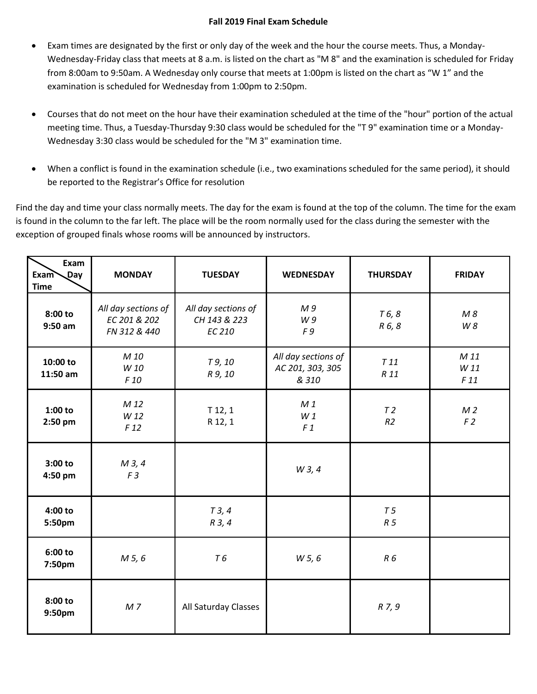## **Fall 2019 Final Exam Schedule**

- Exam times are designated by the first or only day of the week and the hour the course meets. Thus, a Monday-Wednesday-Friday class that meets at 8 a.m. is listed on the chart as "M 8" and the examination is scheduled for Friday from 8:00am to 9:50am. A Wednesday only course that meets at 1:00pm is listed on the chart as "W 1" and the examination is scheduled for Wednesday from 1:00pm to 2:50pm.
- Courses that do not meet on the hour have their examination scheduled at the time of the "hour" portion of the actual meeting time. Thus, a Tuesday-Thursday 9:30 class would be scheduled for the "T 9" examination time or a Monday-Wednesday 3:30 class would be scheduled for the "M 3" examination time.
- When a conflict is found in the examination schedule (i.e., two examinations scheduled for the same period), it should be reported to the Registrar's Office for resolution

Find the day and time your class normally meets. The day for the exam is found at the top of the column. The time for the exam is found in the column to the far left. The place will be the room normally used for the class during the semester with the exception of grouped finals whose rooms will be announced by instructors.

| Exam<br><b>Exam</b><br>$\sqrt{Day}$<br><b>Time</b> | <b>MONDAY</b>                                       | <b>TUESDAY</b>                                       | <b>WEDNESDAY</b>                                 | <b>THURSDAY</b>                  | <b>FRIDAY</b>                    |
|----------------------------------------------------|-----------------------------------------------------|------------------------------------------------------|--------------------------------------------------|----------------------------------|----------------------------------|
| 8:00 to<br>$9:50$ am                               | All day sections of<br>EC 201 & 202<br>FN 312 & 440 | All day sections of<br>CH 143 & 223<br><b>EC 210</b> | M <sub>9</sub><br>W9<br>F9                       | T 6, 8<br>R 6, 8                 | M8<br>W 8                        |
| 10:00 to<br>11:50 am                               | M 10<br>W 10<br>F 10                                | T 9, 10<br>R 9, 10                                   | All day sections of<br>AC 201, 303, 305<br>& 310 | T11<br>R 11                      | M 11<br>W 11<br>F 11             |
| $1:00$ to<br>2:50 pm                               | M 12<br>W 12<br>F <sub>12</sub>                     | $T$ 12, 1<br>R 12, 1                                 | M <sub>1</sub><br>W1<br>F <sub>1</sub>           | T <sub>2</sub><br>R <sub>2</sub> | M <sub>2</sub><br>F <sub>2</sub> |
| 3:00 to<br>4:50 pm                                 | M 3, 4<br>F <sub>3</sub>                            |                                                      | W 3, 4                                           |                                  |                                  |
| 4:00 to<br>5:50pm                                  |                                                     | T3, 4<br>R 3, 4                                      |                                                  | T <sub>5</sub><br>R <sub>5</sub> |                                  |
| 6:00 to<br>7:50pm                                  | M 5, 6                                              | <b>T6</b>                                            | W 5, 6                                           | R6                               |                                  |
| 8:00 to<br>9:50pm                                  | M <sub>7</sub>                                      | All Saturday Classes                                 |                                                  | R 7, 9                           |                                  |